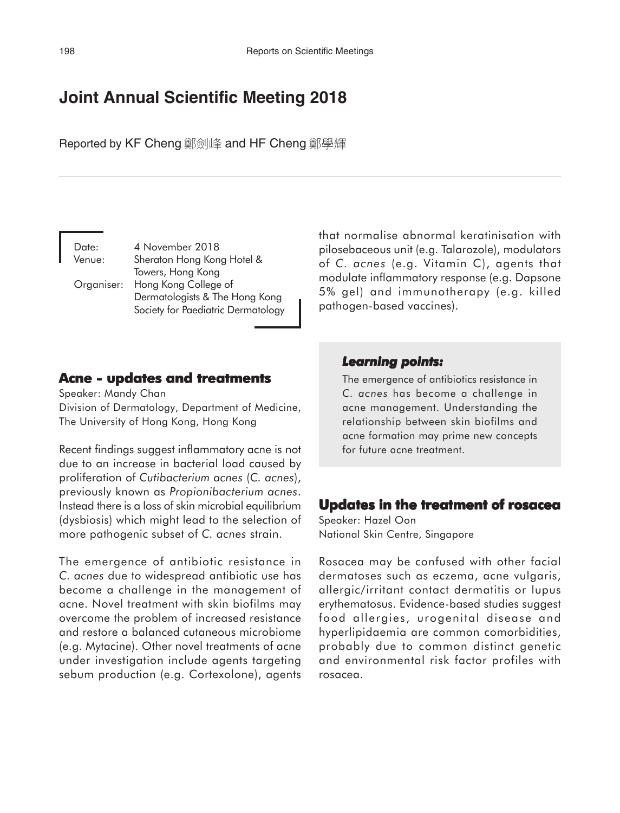# **Joint Annual Scientific Meeting 2018**

Reported by KF Cheng 鄭劍峰 and HF Cheng 鄭學輝

Date: 4 November 2018 Venue: Sheraton Hong Kong Hotel & Towers, Hong Kong Organiser: Hong Kong College of Dermatologists & The Hong Kong Society for Paediatric Dermatology that normalise abnormal keratinisation with pilosebaceous unit (e.g. Talarozole), modulators of *C. acnes* (e.g. Vitamin C), agents that modulate inflammatory response (e.g. Dapsone 5% gel) and immunotherapy (e.g. killed pathogen-based vaccines).

### **Acne - updates and treatments**

Speaker: Mandy Chan Division of Dermatology, Department of Medicine, The University of Hong Kong, Hong Kong

Recent findings suggest inflammatory acne is not due to an increase in bacterial load caused by proliferation of *Cutibacterium acnes* (*C. acnes*), previously known as *Propionibacterium acnes*. Instead there is a loss of skin microbial equilibrium (dysbiosis) which might lead to the selection of more pathogenic subset of *C. acnes* strain.

The emergence of antibiotic resistance in *C. acnes* due to widespread antibiotic use has become a challenge in the management of acne. Novel treatment with skin biofilms may overcome the problem of increased resistance and restore a balanced cutaneous microbiome (e.g. Mytacine). Other novel treatments of acne under investigation include agents targeting sebum production (e.g. Cortexolone), agents

## *Learning points: Learning points:*

The emergence of antibiotics resistance in *C. acnes* has become a challenge in acne management. Understanding the relationship between skin biofilms and acne formation may prime new concepts for future acne treatment.

### **Updates in the treatment of rosacea**

Speaker: Hazel Oon National Skin Centre, Singapore

Rosacea may be confused with other facial dermatoses such as eczema, acne vulgaris, allergic/irritant contact dermatitis or lupus erythematosus. Evidence-based studies suggest food allergies, urogenital disease and hyperlipidaemia are common comorbidities, probably due to common distinct genetic and environmental risk factor profiles with rosacea.